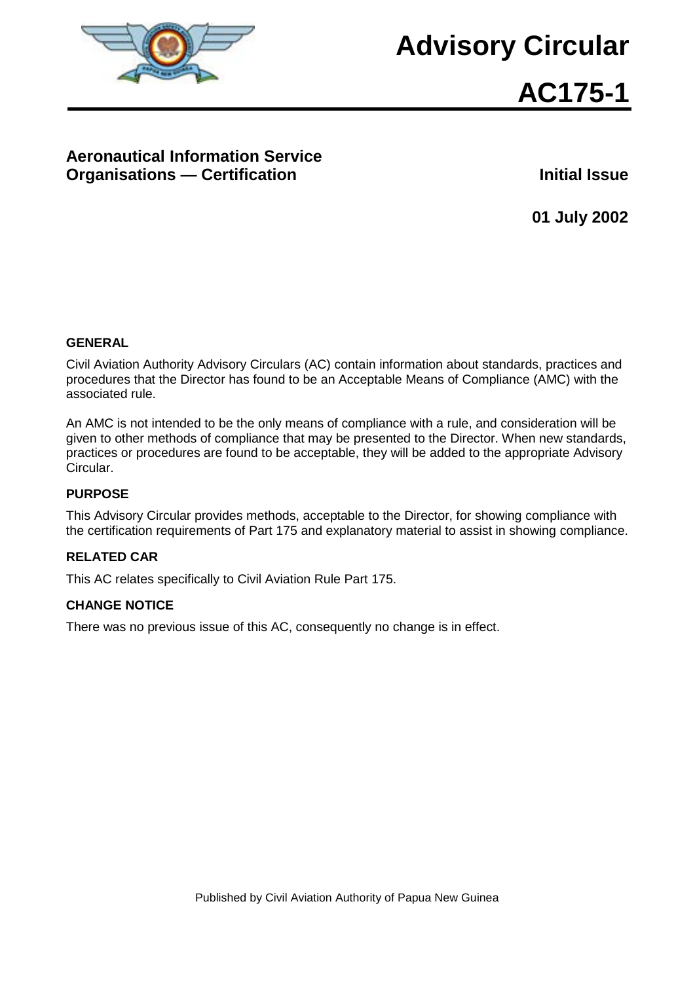

# **Advisory Circular**



# **Aeronautical Information Service Organisations — Certification Initial Issue**

**01 July 2002**

#### **GENERAL**

Civil Aviation Authority Advisory Circulars (AC) contain information about standards, practices and procedures that the Director has found to be an Acceptable Means of Compliance (AMC) with the associated rule.

An AMC is not intended to be the only means of compliance with a rule, and consideration will be given to other methods of compliance that may be presented to the Director. When new standards, practices or procedures are found to be acceptable, they will be added to the appropriate Advisory Circular.

#### **PURPOSE**

This Advisory Circular provides methods, acceptable to the Director, for showing compliance with the certification requirements of Part 175 and explanatory material to assist in showing compliance.

#### **RELATED CAR**

This AC relates specifically to Civil Aviation Rule Part 175.

#### **CHANGE NOTICE**

There was no previous issue of this AC, consequently no change is in effect.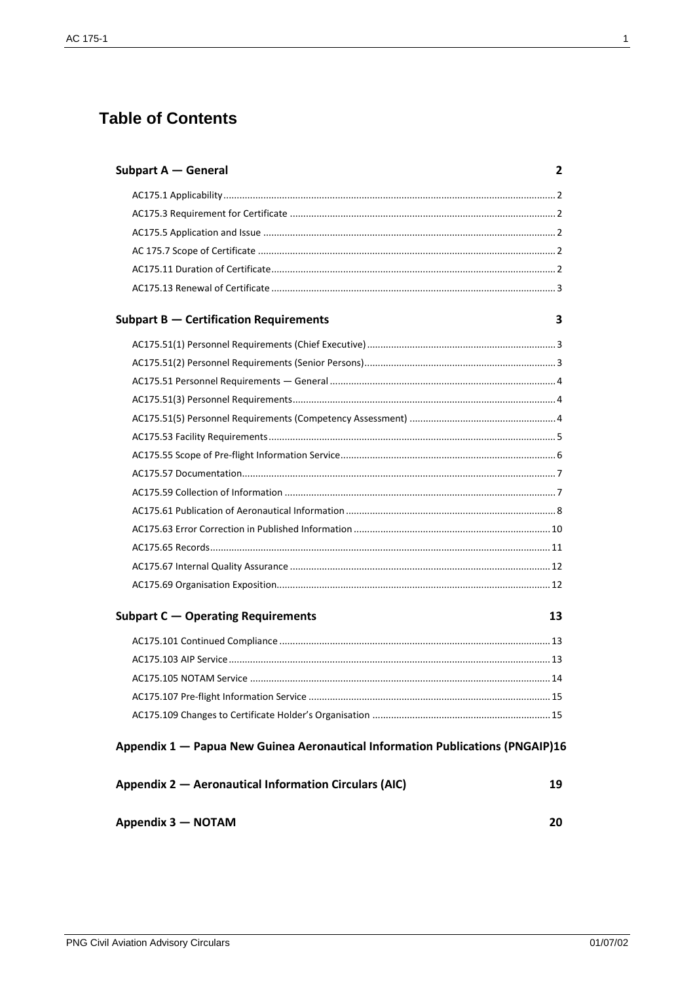# **Table of Contents**

| Subpart A - General                                                            | 2  |
|--------------------------------------------------------------------------------|----|
|                                                                                |    |
|                                                                                |    |
|                                                                                |    |
|                                                                                |    |
|                                                                                |    |
|                                                                                |    |
| <b>Subpart B - Certification Requirements</b>                                  | 3  |
|                                                                                |    |
|                                                                                |    |
|                                                                                |    |
|                                                                                |    |
|                                                                                |    |
|                                                                                |    |
|                                                                                |    |
|                                                                                |    |
|                                                                                |    |
|                                                                                |    |
|                                                                                |    |
|                                                                                |    |
|                                                                                |    |
|                                                                                |    |
| Subpart C - Operating Requirements                                             | 13 |
|                                                                                |    |
|                                                                                |    |
|                                                                                |    |
|                                                                                |    |
|                                                                                |    |
| Appendix 1 - Papua New Guinea Aeronautical Information Publications (PNGAIP)16 |    |
| Appendix 2 - Aeronautical Information Circulars (AIC)                          | 19 |
| Appendix 3 - NOTAM                                                             | 20 |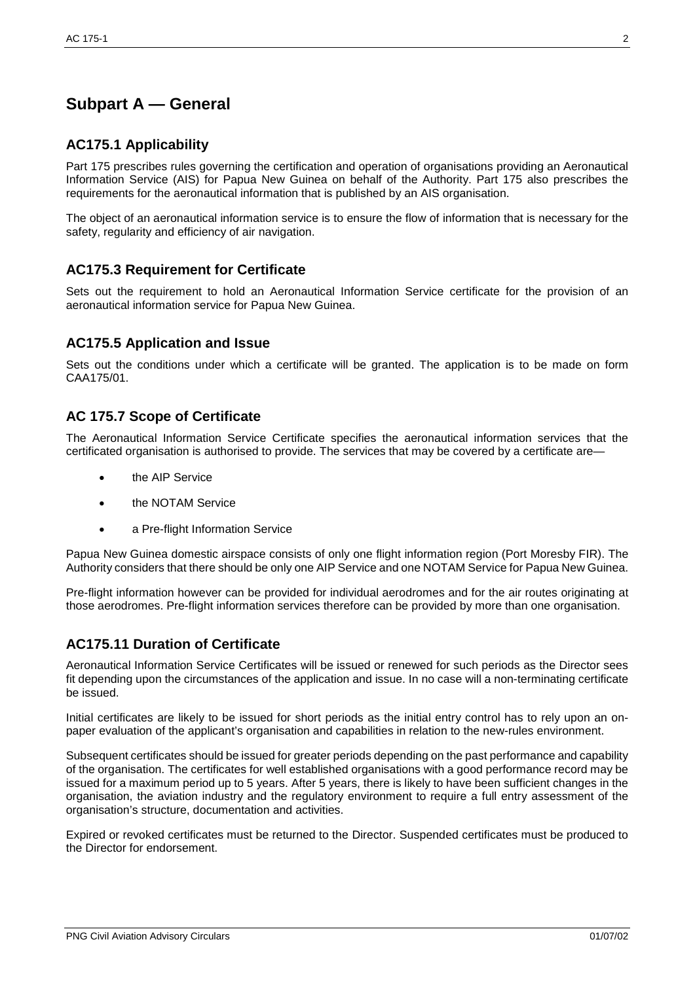# **Subpart A — General**

## **AC175.1 Applicability**

Part 175 prescribes rules governing the certification and operation of organisations providing an Aeronautical Information Service (AIS) for Papua New Guinea on behalf of the Authority. Part 175 also prescribes the requirements for the aeronautical information that is published by an AIS organisation.

The object of an aeronautical information service is to ensure the flow of information that is necessary for the safety, regularity and efficiency of air navigation.

#### **AC175.3 Requirement for Certificate**

Sets out the requirement to hold an Aeronautical Information Service certificate for the provision of an aeronautical information service for Papua New Guinea.

#### **AC175.5 Application and Issue**

Sets out the conditions under which a certificate will be granted. The application is to be made on form CAA175/01.

#### **AC 175.7 Scope of Certificate**

The Aeronautical Information Service Certificate specifies the aeronautical information services that the certificated organisation is authorised to provide. The services that may be covered by a certificate are—

- the AIP Service
- the NOTAM Service
- a Pre-flight Information Service

Papua New Guinea domestic airspace consists of only one flight information region (Port Moresby FIR). The Authority considers that there should be only one AIP Service and one NOTAM Service for Papua New Guinea.

Pre-flight information however can be provided for individual aerodromes and for the air routes originating at those aerodromes. Pre-flight information services therefore can be provided by more than one organisation.

## **AC175.11 Duration of Certificate**

Aeronautical Information Service Certificates will be issued or renewed for such periods as the Director sees fit depending upon the circumstances of the application and issue. In no case will a non-terminating certificate be issued.

Initial certificates are likely to be issued for short periods as the initial entry control has to rely upon an onpaper evaluation of the applicant's organisation and capabilities in relation to the new-rules environment.

Subsequent certificates should be issued for greater periods depending on the past performance and capability of the organisation. The certificates for well established organisations with a good performance record may be issued for a maximum period up to 5 years. After 5 years, there is likely to have been sufficient changes in the organisation, the aviation industry and the regulatory environment to require a full entry assessment of the organisation's structure, documentation and activities.

Expired or revoked certificates must be returned to the Director. Suspended certificates must be produced to the Director for endorsement.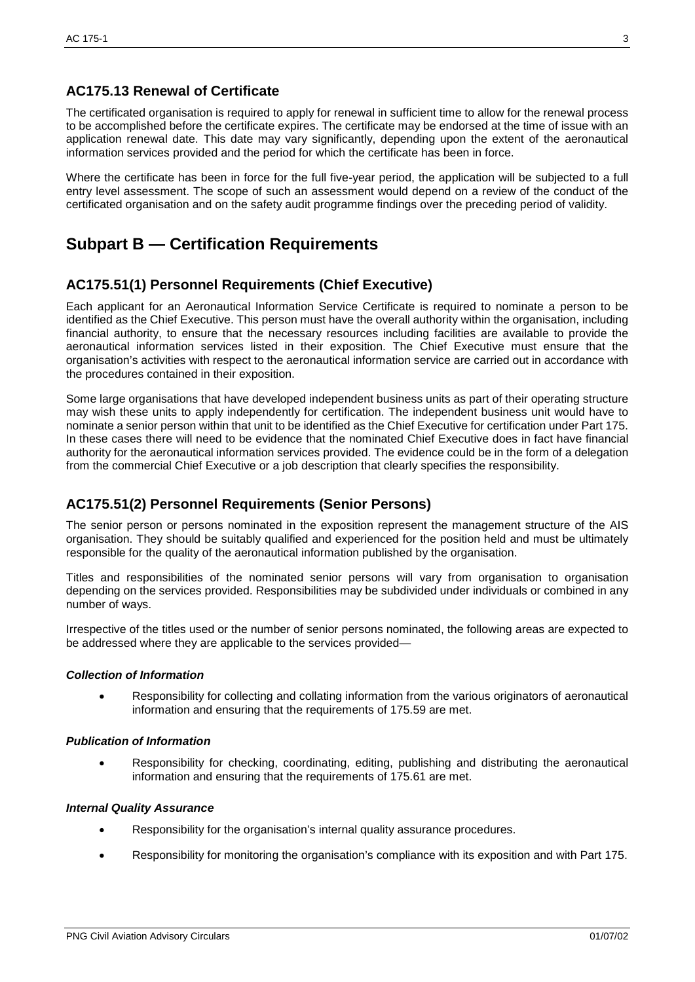# **AC175.13 Renewal of Certificate**

The certificated organisation is required to apply for renewal in sufficient time to allow for the renewal process to be accomplished before the certificate expires. The certificate may be endorsed at the time of issue with an application renewal date. This date may vary significantly, depending upon the extent of the aeronautical information services provided and the period for which the certificate has been in force.

Where the certificate has been in force for the full five-year period, the application will be subjected to a full entry level assessment. The scope of such an assessment would depend on a review of the conduct of the certificated organisation and on the safety audit programme findings over the preceding period of validity.

# **Subpart B — Certification Requirements**

# **AC175.51(1) Personnel Requirements (Chief Executive)**

Each applicant for an Aeronautical Information Service Certificate is required to nominate a person to be identified as the Chief Executive. This person must have the overall authority within the organisation, including financial authority, to ensure that the necessary resources including facilities are available to provide the aeronautical information services listed in their exposition. The Chief Executive must ensure that the organisation's activities with respect to the aeronautical information service are carried out in accordance with the procedures contained in their exposition.

Some large organisations that have developed independent business units as part of their operating structure may wish these units to apply independently for certification. The independent business unit would have to nominate a senior person within that unit to be identified as the Chief Executive for certification under Part 175. In these cases there will need to be evidence that the nominated Chief Executive does in fact have financial authority for the aeronautical information services provided. The evidence could be in the form of a delegation from the commercial Chief Executive or a job description that clearly specifies the responsibility.

## **AC175.51(2) Personnel Requirements (Senior Persons)**

The senior person or persons nominated in the exposition represent the management structure of the AIS organisation. They should be suitably qualified and experienced for the position held and must be ultimately responsible for the quality of the aeronautical information published by the organisation.

Titles and responsibilities of the nominated senior persons will vary from organisation to organisation depending on the services provided. Responsibilities may be subdivided under individuals or combined in any number of ways.

Irrespective of the titles used or the number of senior persons nominated, the following areas are expected to be addressed where they are applicable to the services provided—

#### *Collection of Information*

• Responsibility for collecting and collating information from the various originators of aeronautical information and ensuring that the requirements of 175.59 are met.

#### *Publication of Information*

• Responsibility for checking, coordinating, editing, publishing and distributing the aeronautical information and ensuring that the requirements of 175.61 are met.

#### *Internal Quality Assurance*

- Responsibility for the organisation's internal quality assurance procedures.
- Responsibility for monitoring the organisation's compliance with its exposition and with Part 175.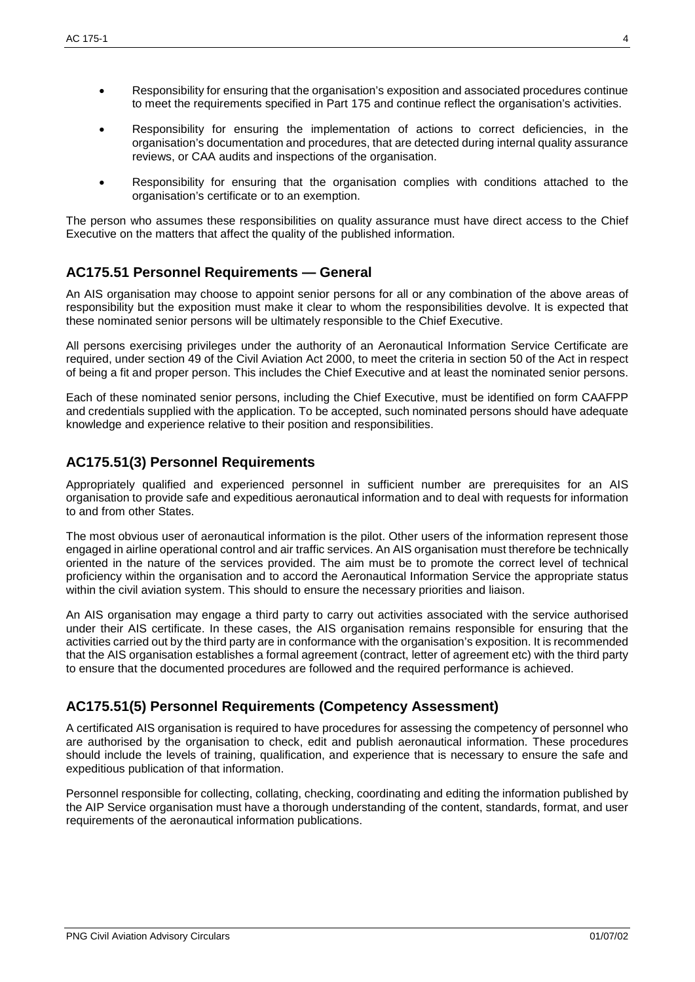- Responsibility for ensuring that the organisation's exposition and associated procedures continue to meet the requirements specified in Part 175 and continue reflect the organisation's activities.
- Responsibility for ensuring the implementation of actions to correct deficiencies, in the organisation's documentation and procedures, that are detected during internal quality assurance reviews, or CAA audits and inspections of the organisation.
- Responsibility for ensuring that the organisation complies with conditions attached to the organisation's certificate or to an exemption.

The person who assumes these responsibilities on quality assurance must have direct access to the Chief Executive on the matters that affect the quality of the published information.

## **AC175.51 Personnel Requirements — General**

An AIS organisation may choose to appoint senior persons for all or any combination of the above areas of responsibility but the exposition must make it clear to whom the responsibilities devolve. It is expected that these nominated senior persons will be ultimately responsible to the Chief Executive.

All persons exercising privileges under the authority of an Aeronautical Information Service Certificate are required, under section 49 of the Civil Aviation Act 2000, to meet the criteria in section 50 of the Act in respect of being a fit and proper person. This includes the Chief Executive and at least the nominated senior persons.

Each of these nominated senior persons, including the Chief Executive, must be identified on form CAAFPP and credentials supplied with the application. To be accepted, such nominated persons should have adequate knowledge and experience relative to their position and responsibilities.

# **AC175.51(3) Personnel Requirements**

Appropriately qualified and experienced personnel in sufficient number are prerequisites for an AIS organisation to provide safe and expeditious aeronautical information and to deal with requests for information to and from other States.

The most obvious user of aeronautical information is the pilot. Other users of the information represent those engaged in airline operational control and air traffic services. An AIS organisation must therefore be technically oriented in the nature of the services provided. The aim must be to promote the correct level of technical proficiency within the organisation and to accord the Aeronautical Information Service the appropriate status within the civil aviation system. This should to ensure the necessary priorities and liaison.

An AIS organisation may engage a third party to carry out activities associated with the service authorised under their AIS certificate. In these cases, the AIS organisation remains responsible for ensuring that the activities carried out by the third party are in conformance with the organisation's exposition. It is recommended that the AIS organisation establishes a formal agreement (contract, letter of agreement etc) with the third party to ensure that the documented procedures are followed and the required performance is achieved.

## **AC175.51(5) Personnel Requirements (Competency Assessment)**

A certificated AIS organisation is required to have procedures for assessing the competency of personnel who are authorised by the organisation to check, edit and publish aeronautical information. These procedures should include the levels of training, qualification, and experience that is necessary to ensure the safe and expeditious publication of that information.

Personnel responsible for collecting, collating, checking, coordinating and editing the information published by the AIP Service organisation must have a thorough understanding of the content, standards, format, and user requirements of the aeronautical information publications.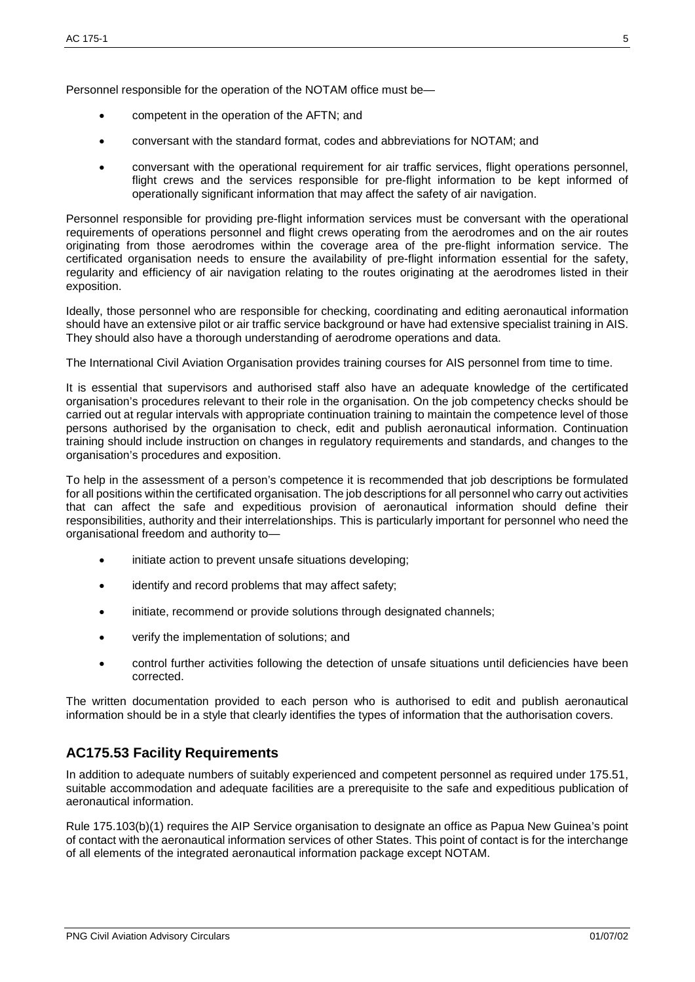Personnel responsible for the operation of the NOTAM office must be—

- competent in the operation of the AFTN; and
- conversant with the standard format, codes and abbreviations for NOTAM; and
- conversant with the operational requirement for air traffic services, flight operations personnel, flight crews and the services responsible for pre-flight information to be kept informed of operationally significant information that may affect the safety of air navigation.

Personnel responsible for providing pre-flight information services must be conversant with the operational requirements of operations personnel and flight crews operating from the aerodromes and on the air routes originating from those aerodromes within the coverage area of the pre-flight information service. The certificated organisation needs to ensure the availability of pre-flight information essential for the safety, regularity and efficiency of air navigation relating to the routes originating at the aerodromes listed in their exposition.

Ideally, those personnel who are responsible for checking, coordinating and editing aeronautical information should have an extensive pilot or air traffic service background or have had extensive specialist training in AIS. They should also have a thorough understanding of aerodrome operations and data.

The International Civil Aviation Organisation provides training courses for AIS personnel from time to time.

It is essential that supervisors and authorised staff also have an adequate knowledge of the certificated organisation's procedures relevant to their role in the organisation. On the job competency checks should be carried out at regular intervals with appropriate continuation training to maintain the competence level of those persons authorised by the organisation to check, edit and publish aeronautical information. Continuation training should include instruction on changes in regulatory requirements and standards, and changes to the organisation's procedures and exposition.

To help in the assessment of a person's competence it is recommended that job descriptions be formulated for all positions within the certificated organisation. The job descriptions for all personnel who carry out activities that can affect the safe and expeditious provision of aeronautical information should define their responsibilities, authority and their interrelationships. This is particularly important for personnel who need the organisational freedom and authority to—

- initiate action to prevent unsafe situations developing;
- identify and record problems that may affect safety;
- initiate, recommend or provide solutions through designated channels;
- verify the implementation of solutions; and
- control further activities following the detection of unsafe situations until deficiencies have been corrected.

The written documentation provided to each person who is authorised to edit and publish aeronautical information should be in a style that clearly identifies the types of information that the authorisation covers.

#### **AC175.53 Facility Requirements**

In addition to adequate numbers of suitably experienced and competent personnel as required under 175.51, suitable accommodation and adequate facilities are a prerequisite to the safe and expeditious publication of aeronautical information.

Rule 175.103(b)(1) requires the AIP Service organisation to designate an office as Papua New Guinea's point of contact with the aeronautical information services of other States. This point of contact is for the interchange of all elements of the integrated aeronautical information package except NOTAM.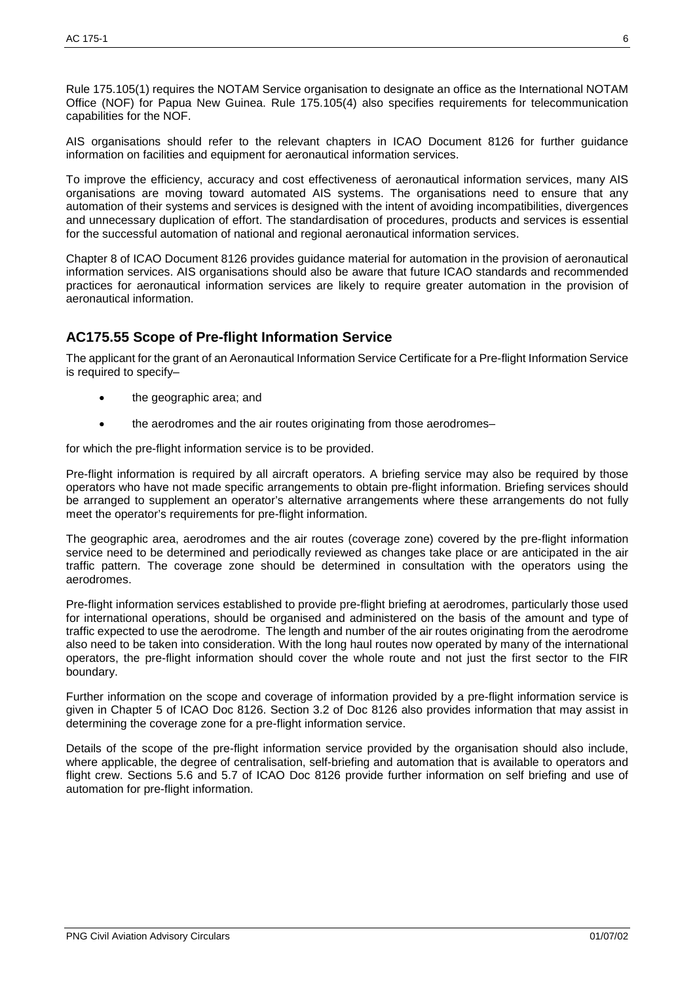Rule 175.105(1) requires the NOTAM Service organisation to designate an office as the International NOTAM Office (NOF) for Papua New Guinea. Rule 175.105(4) also specifies requirements for telecommunication capabilities for the NOF.

AIS organisations should refer to the relevant chapters in ICAO Document 8126 for further guidance information on facilities and equipment for aeronautical information services.

To improve the efficiency, accuracy and cost effectiveness of aeronautical information services, many AIS organisations are moving toward automated AIS systems. The organisations need to ensure that any automation of their systems and services is designed with the intent of avoiding incompatibilities, divergences and unnecessary duplication of effort. The standardisation of procedures, products and services is essential for the successful automation of national and regional aeronautical information services.

Chapter 8 of ICAO Document 8126 provides guidance material for automation in the provision of aeronautical information services. AIS organisations should also be aware that future ICAO standards and recommended practices for aeronautical information services are likely to require greater automation in the provision of aeronautical information.

## **AC175.55 Scope of Pre-flight Information Service**

The applicant for the grant of an Aeronautical Information Service Certificate for a Pre-flight Information Service is required to specify–

- the geographic area; and
- the aerodromes and the air routes originating from those aerodromes-

for which the pre-flight information service is to be provided.

Pre-flight information is required by all aircraft operators. A briefing service may also be required by those operators who have not made specific arrangements to obtain pre-flight information. Briefing services should be arranged to supplement an operator's alternative arrangements where these arrangements do not fully meet the operator's requirements for pre-flight information.

The geographic area, aerodromes and the air routes (coverage zone) covered by the pre-flight information service need to be determined and periodically reviewed as changes take place or are anticipated in the air traffic pattern. The coverage zone should be determined in consultation with the operators using the aerodromes.

Pre-flight information services established to provide pre-flight briefing at aerodromes, particularly those used for international operations, should be organised and administered on the basis of the amount and type of traffic expected to use the aerodrome. The length and number of the air routes originating from the aerodrome also need to be taken into consideration. With the long haul routes now operated by many of the international operators, the pre-flight information should cover the whole route and not just the first sector to the FIR boundary.

Further information on the scope and coverage of information provided by a pre-flight information service is given in Chapter 5 of ICAO Doc 8126. Section 3.2 of Doc 8126 also provides information that may assist in determining the coverage zone for a pre-flight information service.

Details of the scope of the pre-flight information service provided by the organisation should also include, where applicable, the degree of centralisation, self-briefing and automation that is available to operators and flight crew. Sections 5.6 and 5.7 of ICAO Doc 8126 provide further information on self briefing and use of automation for pre-flight information.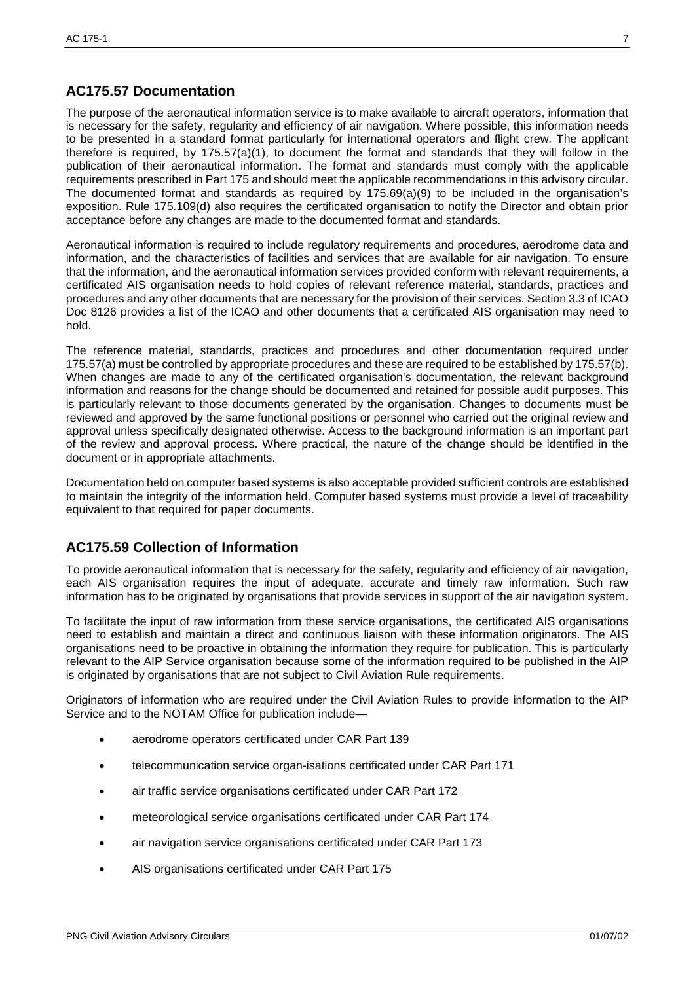# **AC175.57 Documentation**

The purpose of the aeronautical information service is to make available to aircraft operators, information that is necessary for the safety, regularity and efficiency of air navigation. Where possible, this information needs to be presented in a standard format particularly for international operators and flight crew. The applicant therefore is required, by 175.57(a)(1), to document the format and standards that they will follow in the publication of their aeronautical information. The format and standards must comply with the applicable requirements prescribed in Part 175 and should meet the applicable recommendations in this advisory circular. The documented format and standards as required by 175.69(a)(9) to be included in the organisation's exposition. Rule 175.109(d) also requires the certificated organisation to notify the Director and obtain prior acceptance before any changes are made to the documented format and standards.

Aeronautical information is required to include regulatory requirements and procedures, aerodrome data and information, and the characteristics of facilities and services that are available for air navigation. To ensure that the information, and the aeronautical information services provided conform with relevant requirements, a certificated AIS organisation needs to hold copies of relevant reference material, standards, practices and procedures and any other documents that are necessary for the provision of their services. Section 3.3 of ICAO Doc 8126 provides a list of the ICAO and other documents that a certificated AIS organisation may need to hold.

The reference material, standards, practices and procedures and other documentation required under 175.57(a) must be controlled by appropriate procedures and these are required to be established by 175.57(b). When changes are made to any of the certificated organisation's documentation, the relevant background information and reasons for the change should be documented and retained for possible audit purposes. This is particularly relevant to those documents generated by the organisation. Changes to documents must be reviewed and approved by the same functional positions or personnel who carried out the original review and approval unless specifically designated otherwise. Access to the background information is an important part of the review and approval process. Where practical, the nature of the change should be identified in the document or in appropriate attachments.

Documentation held on computer based systems is also acceptable provided sufficient controls are established to maintain the integrity of the information held. Computer based systems must provide a level of traceability equivalent to that required for paper documents.

## **AC175.59 Collection of Information**

To provide aeronautical information that is necessary for the safety, regularity and efficiency of air navigation, each AIS organisation requires the input of adequate, accurate and timely raw information. Such raw information has to be originated by organisations that provide services in support of the air navigation system.

To facilitate the input of raw information from these service organisations, the certificated AIS organisations need to establish and maintain a direct and continuous liaison with these information originators. The AIS organisations need to be proactive in obtaining the information they require for publication. This is particularly relevant to the AIP Service organisation because some of the information required to be published in the AIP is originated by organisations that are not subject to Civil Aviation Rule requirements.

Originators of information who are required under the Civil Aviation Rules to provide information to the AIP Service and to the NOTAM Office for publication include—

- aerodrome operators certificated under CAR Part 139
- telecommunication service organ-isations certificated under CAR Part 171
- air traffic service organisations certificated under CAR Part 172
- meteorological service organisations certificated under CAR Part 174
- air navigation service organisations certificated under CAR Part 173
- AIS organisations certificated under CAR Part 175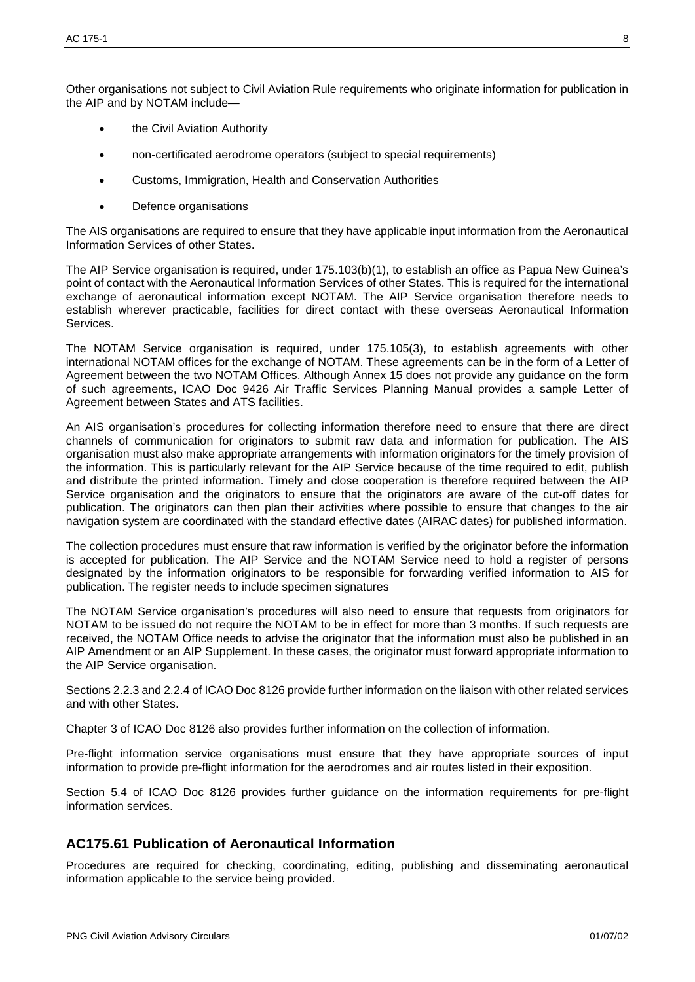Other organisations not subject to Civil Aviation Rule requirements who originate information for publication in the AIP and by NOTAM include—

- the Civil Aviation Authority
- non-certificated aerodrome operators (subject to special requirements)
- Customs, Immigration, Health and Conservation Authorities
- Defence organisations

The AIS organisations are required to ensure that they have applicable input information from the Aeronautical Information Services of other States.

The AIP Service organisation is required, under 175.103(b)(1), to establish an office as Papua New Guinea's point of contact with the Aeronautical Information Services of other States. This is required for the international exchange of aeronautical information except NOTAM. The AIP Service organisation therefore needs to establish wherever practicable, facilities for direct contact with these overseas Aeronautical Information Services.

The NOTAM Service organisation is required, under 175.105(3), to establish agreements with other international NOTAM offices for the exchange of NOTAM. These agreements can be in the form of a Letter of Agreement between the two NOTAM Offices. Although Annex 15 does not provide any guidance on the form of such agreements, ICAO Doc 9426 Air Traffic Services Planning Manual provides a sample Letter of Agreement between States and ATS facilities.

An AIS organisation's procedures for collecting information therefore need to ensure that there are direct channels of communication for originators to submit raw data and information for publication. The AIS organisation must also make appropriate arrangements with information originators for the timely provision of the information. This is particularly relevant for the AIP Service because of the time required to edit, publish and distribute the printed information. Timely and close cooperation is therefore required between the AIP Service organisation and the originators to ensure that the originators are aware of the cut-off dates for publication. The originators can then plan their activities where possible to ensure that changes to the air navigation system are coordinated with the standard effective dates (AIRAC dates) for published information.

The collection procedures must ensure that raw information is verified by the originator before the information is accepted for publication. The AIP Service and the NOTAM Service need to hold a register of persons designated by the information originators to be responsible for forwarding verified information to AIS for publication. The register needs to include specimen signatures

The NOTAM Service organisation's procedures will also need to ensure that requests from originators for NOTAM to be issued do not require the NOTAM to be in effect for more than 3 months. If such requests are received, the NOTAM Office needs to advise the originator that the information must also be published in an AIP Amendment or an AIP Supplement. In these cases, the originator must forward appropriate information to the AIP Service organisation.

Sections 2.2.3 and 2.2.4 of ICAO Doc 8126 provide further information on the liaison with other related services and with other States.

Chapter 3 of ICAO Doc 8126 also provides further information on the collection of information.

Pre-flight information service organisations must ensure that they have appropriate sources of input information to provide pre-flight information for the aerodromes and air routes listed in their exposition.

Section 5.4 of ICAO Doc 8126 provides further guidance on the information requirements for pre-flight information services.

## **AC175.61 Publication of Aeronautical Information**

Procedures are required for checking, coordinating, editing, publishing and disseminating aeronautical information applicable to the service being provided.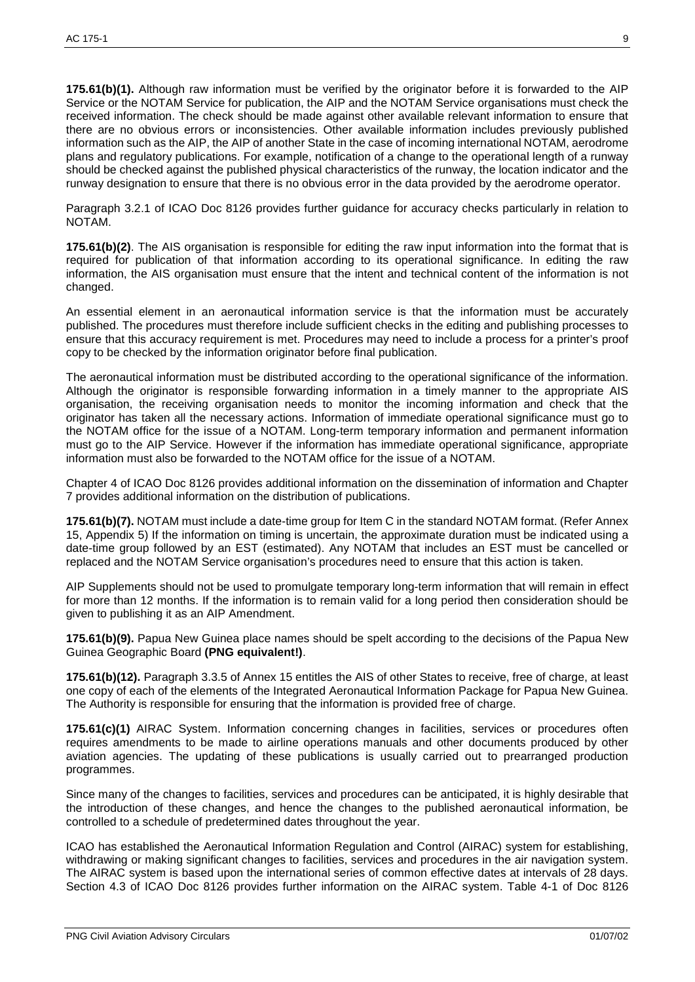**175.61(b)(1).** Although raw information must be verified by the originator before it is forwarded to the AIP Service or the NOTAM Service for publication, the AIP and the NOTAM Service organisations must check the received information. The check should be made against other available relevant information to ensure that there are no obvious errors or inconsistencies. Other available information includes previously published information such as the AIP, the AIP of another State in the case of incoming international NOTAM, aerodrome plans and regulatory publications. For example, notification of a change to the operational length of a runway should be checked against the published physical characteristics of the runway, the location indicator and the runway designation to ensure that there is no obvious error in the data provided by the aerodrome operator.

Paragraph 3.2.1 of ICAO Doc 8126 provides further guidance for accuracy checks particularly in relation to NOTAM.

**175.61(b)(2)**. The AIS organisation is responsible for editing the raw input information into the format that is required for publication of that information according to its operational significance. In editing the raw information, the AIS organisation must ensure that the intent and technical content of the information is not changed.

An essential element in an aeronautical information service is that the information must be accurately published. The procedures must therefore include sufficient checks in the editing and publishing processes to ensure that this accuracy requirement is met. Procedures may need to include a process for a printer's proof copy to be checked by the information originator before final publication.

The aeronautical information must be distributed according to the operational significance of the information. Although the originator is responsible forwarding information in a timely manner to the appropriate AIS organisation, the receiving organisation needs to monitor the incoming information and check that the originator has taken all the necessary actions. Information of immediate operational significance must go to the NOTAM office for the issue of a NOTAM. Long-term temporary information and permanent information must go to the AIP Service. However if the information has immediate operational significance, appropriate information must also be forwarded to the NOTAM office for the issue of a NOTAM.

Chapter 4 of ICAO Doc 8126 provides additional information on the dissemination of information and Chapter 7 provides additional information on the distribution of publications.

**175.61(b)(7).** NOTAM must include a date-time group for Item C in the standard NOTAM format. (Refer Annex 15, Appendix 5) If the information on timing is uncertain, the approximate duration must be indicated using a date-time group followed by an EST (estimated). Any NOTAM that includes an EST must be cancelled or replaced and the NOTAM Service organisation's procedures need to ensure that this action is taken.

AIP Supplements should not be used to promulgate temporary long-term information that will remain in effect for more than 12 months. If the information is to remain valid for a long period then consideration should be given to publishing it as an AIP Amendment.

**175.61(b)(9).** Papua New Guinea place names should be spelt according to the decisions of the Papua New Guinea Geographic Board **(PNG equivalent!)**.

**175.61(b)(12).** Paragraph 3.3.5 of Annex 15 entitles the AIS of other States to receive, free of charge, at least one copy of each of the elements of the Integrated Aeronautical Information Package for Papua New Guinea. The Authority is responsible for ensuring that the information is provided free of charge.

**175.61(c)(1)** AIRAC System. Information concerning changes in facilities, services or procedures often requires amendments to be made to airline operations manuals and other documents produced by other aviation agencies. The updating of these publications is usually carried out to prearranged production programmes.

Since many of the changes to facilities, services and procedures can be anticipated, it is highly desirable that the introduction of these changes, and hence the changes to the published aeronautical information, be controlled to a schedule of predetermined dates throughout the year.

ICAO has established the Aeronautical Information Regulation and Control (AIRAC) system for establishing, withdrawing or making significant changes to facilities, services and procedures in the air navigation system. The AIRAC system is based upon the international series of common effective dates at intervals of 28 days. Section 4.3 of ICAO Doc 8126 provides further information on the AIRAC system. Table 4-1 of Doc 8126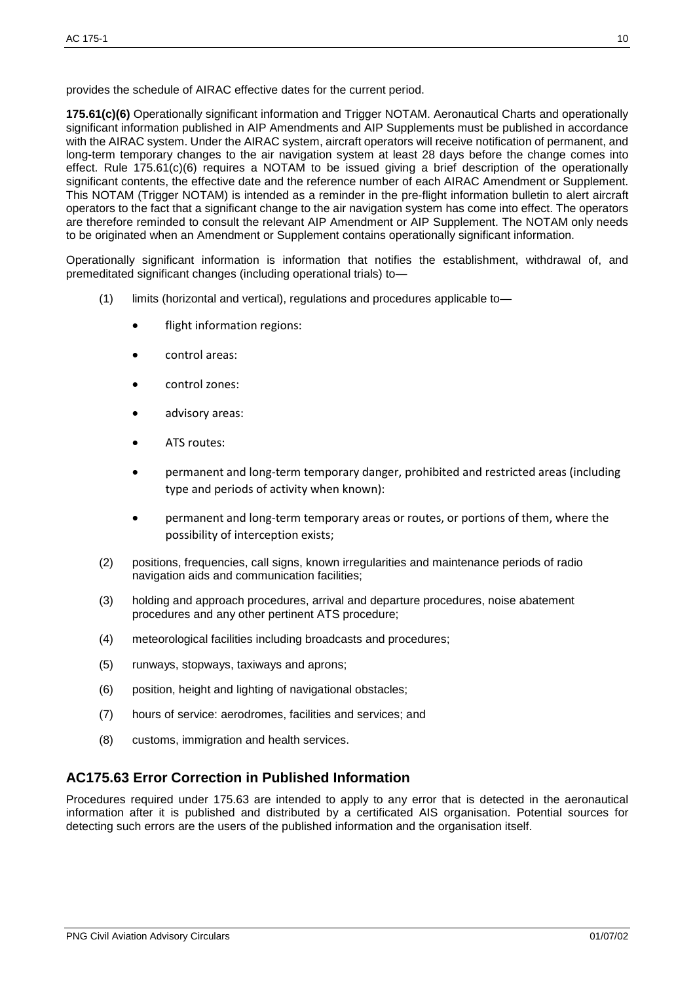provides the schedule of AIRAC effective dates for the current period.

**175.61(c)(6)** Operationally significant information and Trigger NOTAM. Aeronautical Charts and operationally significant information published in AIP Amendments and AIP Supplements must be published in accordance with the AIRAC system. Under the AIRAC system, aircraft operators will receive notification of permanent, and long-term temporary changes to the air navigation system at least 28 days before the change comes into effect. Rule 175.61(c)(6) requires a NOTAM to be issued giving a brief description of the operationally significant contents, the effective date and the reference number of each AIRAC Amendment or Supplement. This NOTAM (Trigger NOTAM) is intended as a reminder in the pre-flight information bulletin to alert aircraft operators to the fact that a significant change to the air navigation system has come into effect. The operators are therefore reminded to consult the relevant AIP Amendment or AIP Supplement. The NOTAM only needs to be originated when an Amendment or Supplement contains operationally significant information.

Operationally significant information is information that notifies the establishment, withdrawal of, and premeditated significant changes (including operational trials) to—

- (1) limits (horizontal and vertical), regulations and procedures applicable to
	- flight information regions:
	- control areas:
	- control zones:
	- advisory areas:
	- ATS routes:
	- permanent and long-term temporary danger, prohibited and restricted areas (including type and periods of activity when known):
	- permanent and long-term temporary areas or routes, or portions of them, where the possibility of interception exists;
- (2) positions, frequencies, call signs, known irregularities and maintenance periods of radio navigation aids and communication facilities;
- (3) holding and approach procedures, arrival and departure procedures, noise abatement procedures and any other pertinent ATS procedure;
- (4) meteorological facilities including broadcasts and procedures;
- (5) runways, stopways, taxiways and aprons;
- (6) position, height and lighting of navigational obstacles;
- (7) hours of service: aerodromes, facilities and services; and
- (8) customs, immigration and health services.

#### **AC175.63 Error Correction in Published Information**

Procedures required under 175.63 are intended to apply to any error that is detected in the aeronautical information after it is published and distributed by a certificated AIS organisation. Potential sources for detecting such errors are the users of the published information and the organisation itself.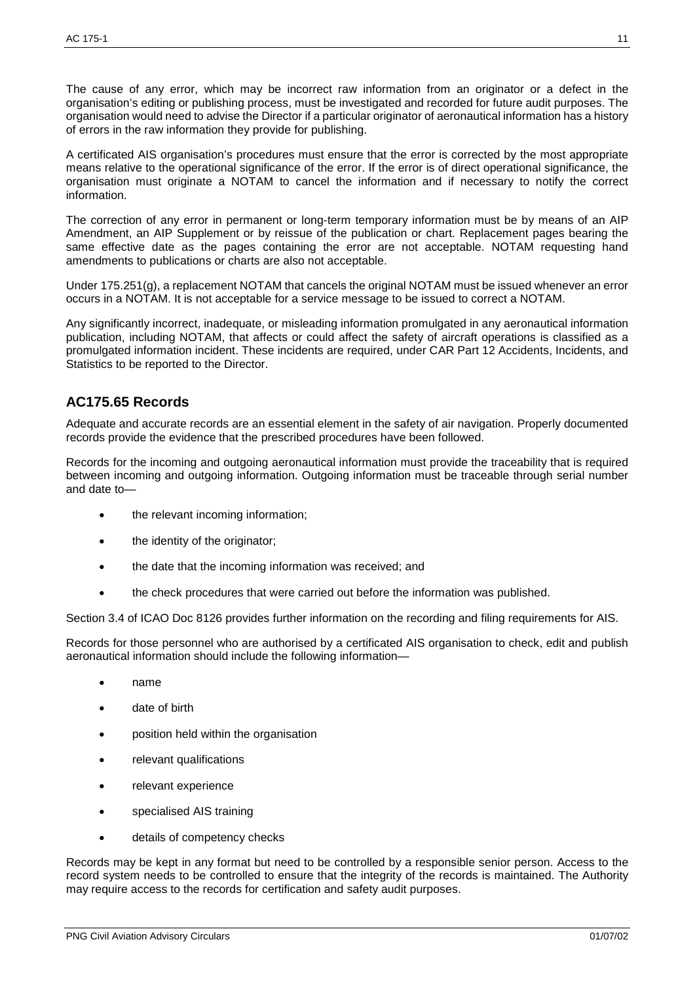The cause of any error, which may be incorrect raw information from an originator or a defect in the organisation's editing or publishing process, must be investigated and recorded for future audit purposes. The organisation would need to advise the Director if a particular originator of aeronautical information has a history of errors in the raw information they provide for publishing.

A certificated AIS organisation's procedures must ensure that the error is corrected by the most appropriate means relative to the operational significance of the error. If the error is of direct operational significance, the organisation must originate a NOTAM to cancel the information and if necessary to notify the correct information.

The correction of any error in permanent or long-term temporary information must be by means of an AIP Amendment, an AIP Supplement or by reissue of the publication or chart. Replacement pages bearing the same effective date as the pages containing the error are not acceptable. NOTAM requesting hand amendments to publications or charts are also not acceptable.

Under 175.251(g), a replacement NOTAM that cancels the original NOTAM must be issued whenever an error occurs in a NOTAM. It is not acceptable for a service message to be issued to correct a NOTAM.

Any significantly incorrect, inadequate, or misleading information promulgated in any aeronautical information publication, including NOTAM, that affects or could affect the safety of aircraft operations is classified as a promulgated information incident. These incidents are required, under CAR Part 12 Accidents, Incidents, and Statistics to be reported to the Director.

## **AC175.65 Records**

Adequate and accurate records are an essential element in the safety of air navigation. Properly documented records provide the evidence that the prescribed procedures have been followed.

Records for the incoming and outgoing aeronautical information must provide the traceability that is required between incoming and outgoing information. Outgoing information must be traceable through serial number and date to—

- the relevant incoming information;
- the identity of the originator;
- the date that the incoming information was received; and
- the check procedures that were carried out before the information was published.

Section 3.4 of ICAO Doc 8126 provides further information on the recording and filing requirements for AIS.

Records for those personnel who are authorised by a certificated AIS organisation to check, edit and publish aeronautical information should include the following information—

- name
- date of birth
- position held within the organisation
- relevant qualifications
- relevant experience
- specialised AIS training
- details of competency checks

Records may be kept in any format but need to be controlled by a responsible senior person. Access to the record system needs to be controlled to ensure that the integrity of the records is maintained. The Authority may require access to the records for certification and safety audit purposes.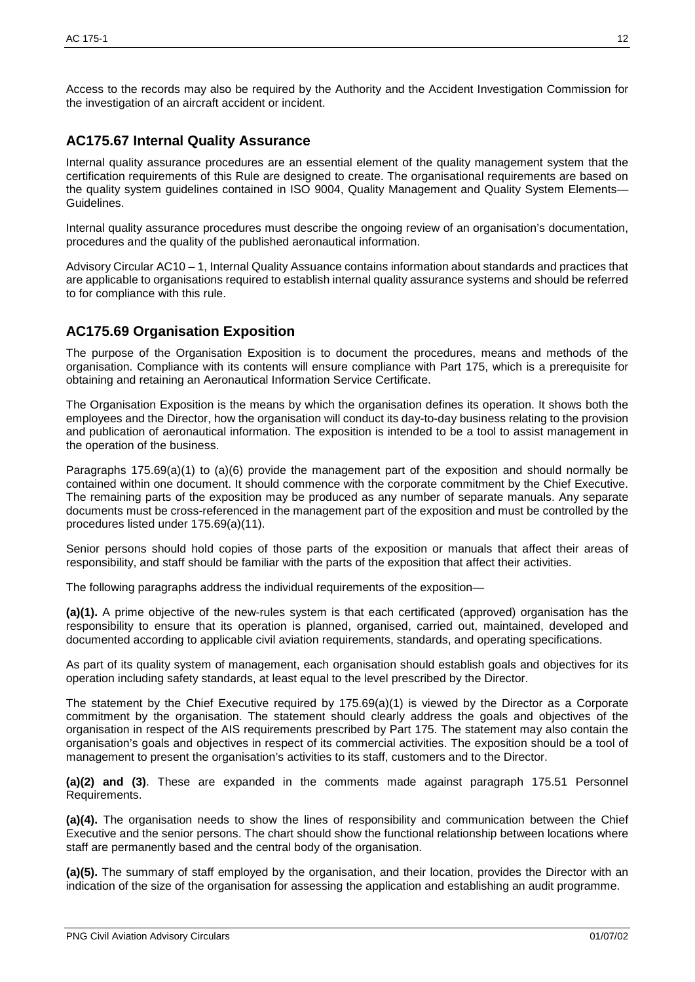Access to the records may also be required by the Authority and the Accident Investigation Commission for the investigation of an aircraft accident or incident.

#### **AC175.67 Internal Quality Assurance**

Internal quality assurance procedures are an essential element of the quality management system that the certification requirements of this Rule are designed to create. The organisational requirements are based on the quality system guidelines contained in ISO 9004, Quality Management and Quality System Elements— Guidelines.

Internal quality assurance procedures must describe the ongoing review of an organisation's documentation, procedures and the quality of the published aeronautical information.

Advisory Circular AC10 – 1, Internal Quality Assuance contains information about standards and practices that are applicable to organisations required to establish internal quality assurance systems and should be referred to for compliance with this rule.

## **AC175.69 Organisation Exposition**

The purpose of the Organisation Exposition is to document the procedures, means and methods of the organisation. Compliance with its contents will ensure compliance with Part 175, which is a prerequisite for obtaining and retaining an Aeronautical Information Service Certificate.

The Organisation Exposition is the means by which the organisation defines its operation. It shows both the employees and the Director, how the organisation will conduct its day-to-day business relating to the provision and publication of aeronautical information. The exposition is intended to be a tool to assist management in the operation of the business.

Paragraphs 175.69(a)(1) to (a)(6) provide the management part of the exposition and should normally be contained within one document. It should commence with the corporate commitment by the Chief Executive. The remaining parts of the exposition may be produced as any number of separate manuals. Any separate documents must be cross-referenced in the management part of the exposition and must be controlled by the procedures listed under 175.69(a)(11).

Senior persons should hold copies of those parts of the exposition or manuals that affect their areas of responsibility, and staff should be familiar with the parts of the exposition that affect their activities.

The following paragraphs address the individual requirements of the exposition—

**(a)(1).** A prime objective of the new-rules system is that each certificated (approved) organisation has the responsibility to ensure that its operation is planned, organised, carried out, maintained, developed and documented according to applicable civil aviation requirements, standards, and operating specifications.

As part of its quality system of management, each organisation should establish goals and objectives for its operation including safety standards, at least equal to the level prescribed by the Director.

The statement by the Chief Executive required by 175.69(a)(1) is viewed by the Director as a Corporate commitment by the organisation. The statement should clearly address the goals and objectives of the organisation in respect of the AIS requirements prescribed by Part 175. The statement may also contain the organisation's goals and objectives in respect of its commercial activities. The exposition should be a tool of management to present the organisation's activities to its staff, customers and to the Director.

**(a)(2) and (3)**. These are expanded in the comments made against paragraph 175.51 Personnel Requirements.

**(a)(4).** The organisation needs to show the lines of responsibility and communication between the Chief Executive and the senior persons. The chart should show the functional relationship between locations where staff are permanently based and the central body of the organisation.

**(a)(5).** The summary of staff employed by the organisation, and their location, provides the Director with an indication of the size of the organisation for assessing the application and establishing an audit programme.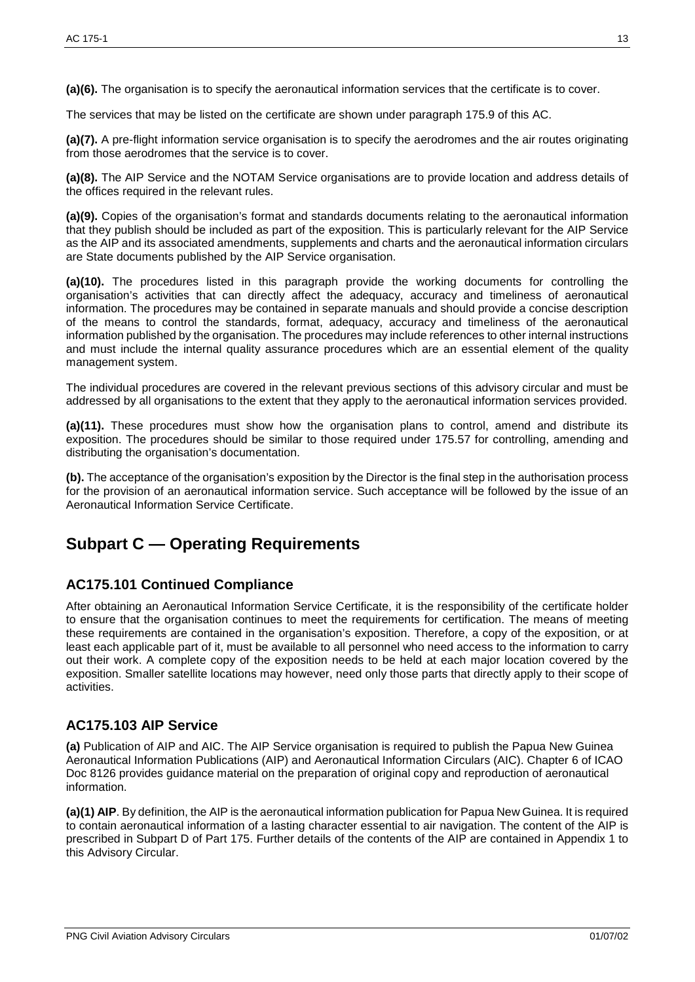**(a)(6).** The organisation is to specify the aeronautical information services that the certificate is to cover.

The services that may be listed on the certificate are shown under paragraph 175.9 of this AC.

**(a)(7).** A pre-flight information service organisation is to specify the aerodromes and the air routes originating from those aerodromes that the service is to cover.

**(a)(8).** The AIP Service and the NOTAM Service organisations are to provide location and address details of the offices required in the relevant rules.

**(a)(9).** Copies of the organisation's format and standards documents relating to the aeronautical information that they publish should be included as part of the exposition. This is particularly relevant for the AIP Service as the AIP and its associated amendments, supplements and charts and the aeronautical information circulars are State documents published by the AIP Service organisation.

**(a)(10).** The procedures listed in this paragraph provide the working documents for controlling the organisation's activities that can directly affect the adequacy, accuracy and timeliness of aeronautical information. The procedures may be contained in separate manuals and should provide a concise description of the means to control the standards, format, adequacy, accuracy and timeliness of the aeronautical information published by the organisation. The procedures may include references to other internal instructions and must include the internal quality assurance procedures which are an essential element of the quality management system.

The individual procedures are covered in the relevant previous sections of this advisory circular and must be addressed by all organisations to the extent that they apply to the aeronautical information services provided.

**(a)(11).** These procedures must show how the organisation plans to control, amend and distribute its exposition. The procedures should be similar to those required under 175.57 for controlling, amending and distributing the organisation's documentation.

**(b).** The acceptance of the organisation's exposition by the Director is the final step in the authorisation process for the provision of an aeronautical information service. Such acceptance will be followed by the issue of an Aeronautical Information Service Certificate.

# **Subpart C — Operating Requirements**

## **AC175.101 Continued Compliance**

After obtaining an Aeronautical Information Service Certificate, it is the responsibility of the certificate holder to ensure that the organisation continues to meet the requirements for certification. The means of meeting these requirements are contained in the organisation's exposition. Therefore, a copy of the exposition, or at least each applicable part of it, must be available to all personnel who need access to the information to carry out their work. A complete copy of the exposition needs to be held at each major location covered by the exposition. Smaller satellite locations may however, need only those parts that directly apply to their scope of activities.

## **AC175.103 AIP Service**

**(a)** Publication of AIP and AIC. The AIP Service organisation is required to publish the Papua New Guinea Aeronautical Information Publications (AIP) and Aeronautical Information Circulars (AIC). Chapter 6 of ICAO Doc 8126 provides guidance material on the preparation of original copy and reproduction of aeronautical information.

**(a)(1) AIP**. By definition, the AIP is the aeronautical information publication for Papua New Guinea. It is required to contain aeronautical information of a lasting character essential to air navigation. The content of the AIP is prescribed in Subpart D of Part 175. Further details of the contents of the AIP are contained in Appendix 1 to this Advisory Circular.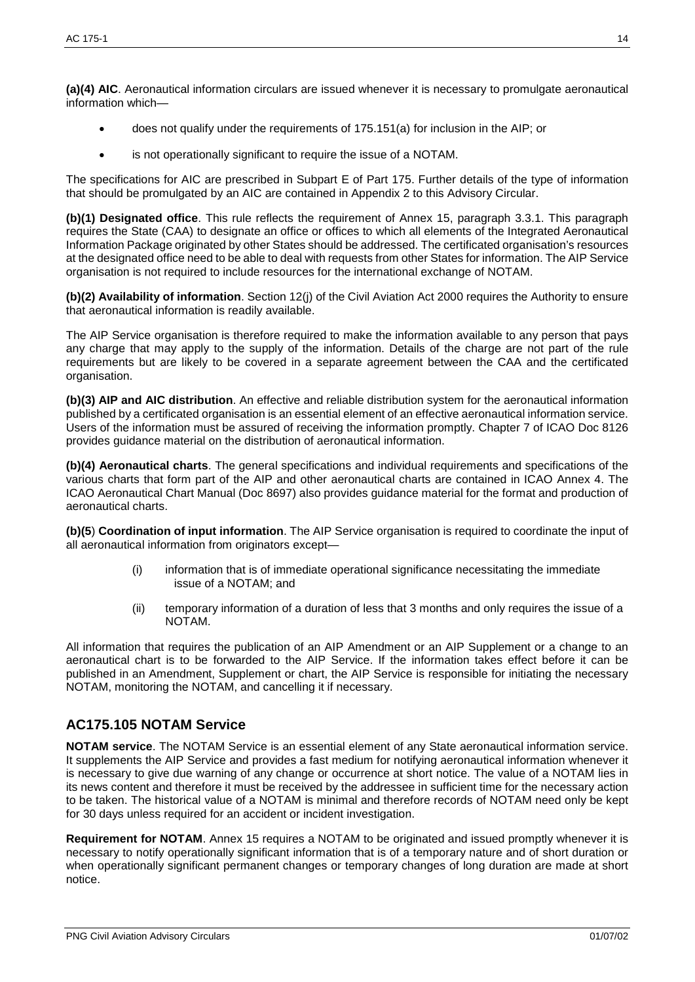**(a)(4) AIC**. Aeronautical information circulars are issued whenever it is necessary to promulgate aeronautical information which—

- does not qualify under the requirements of 175.151(a) for inclusion in the AIP; or
- is not operationally significant to require the issue of a NOTAM.

The specifications for AIC are prescribed in Subpart E of Part 175. Further details of the type of information that should be promulgated by an AIC are contained in Appendix 2 to this Advisory Circular.

**(b)(1) Designated office**. This rule reflects the requirement of Annex 15, paragraph 3.3.1. This paragraph requires the State (CAA) to designate an office or offices to which all elements of the Integrated Aeronautical Information Package originated by other States should be addressed. The certificated organisation's resources at the designated office need to be able to deal with requests from other States for information. The AIP Service organisation is not required to include resources for the international exchange of NOTAM.

**(b)(2) Availability of information**. Section 12(j) of the Civil Aviation Act 2000 requires the Authority to ensure that aeronautical information is readily available.

The AIP Service organisation is therefore required to make the information available to any person that pays any charge that may apply to the supply of the information. Details of the charge are not part of the rule requirements but are likely to be covered in a separate agreement between the CAA and the certificated organisation.

**(b)(3) AIP and AIC distribution**. An effective and reliable distribution system for the aeronautical information published by a certificated organisation is an essential element of an effective aeronautical information service. Users of the information must be assured of receiving the information promptly. Chapter 7 of ICAO Doc 8126 provides guidance material on the distribution of aeronautical information.

**(b)(4) Aeronautical charts**. The general specifications and individual requirements and specifications of the various charts that form part of the AIP and other aeronautical charts are contained in ICAO Annex 4. The ICAO Aeronautical Chart Manual (Doc 8697) also provides guidance material for the format and production of aeronautical charts.

**(b)(5**) **Coordination of input information**. The AIP Service organisation is required to coordinate the input of all aeronautical information from originators except—

- (i) information that is of immediate operational significance necessitating the immediate issue of a NOTAM; and
- (ii) temporary information of a duration of less that 3 months and only requires the issue of a NOTAM.

All information that requires the publication of an AIP Amendment or an AIP Supplement or a change to an aeronautical chart is to be forwarded to the AIP Service. If the information takes effect before it can be published in an Amendment, Supplement or chart, the AIP Service is responsible for initiating the necessary NOTAM, monitoring the NOTAM, and cancelling it if necessary.

#### **AC175.105 NOTAM Service**

**NOTAM service**. The NOTAM Service is an essential element of any State aeronautical information service. It supplements the AIP Service and provides a fast medium for notifying aeronautical information whenever it is necessary to give due warning of any change or occurrence at short notice. The value of a NOTAM lies in its news content and therefore it must be received by the addressee in sufficient time for the necessary action to be taken. The historical value of a NOTAM is minimal and therefore records of NOTAM need only be kept for 30 days unless required for an accident or incident investigation.

**Requirement for NOTAM**. Annex 15 requires a NOTAM to be originated and issued promptly whenever it is necessary to notify operationally significant information that is of a temporary nature and of short duration or when operationally significant permanent changes or temporary changes of long duration are made at short notice.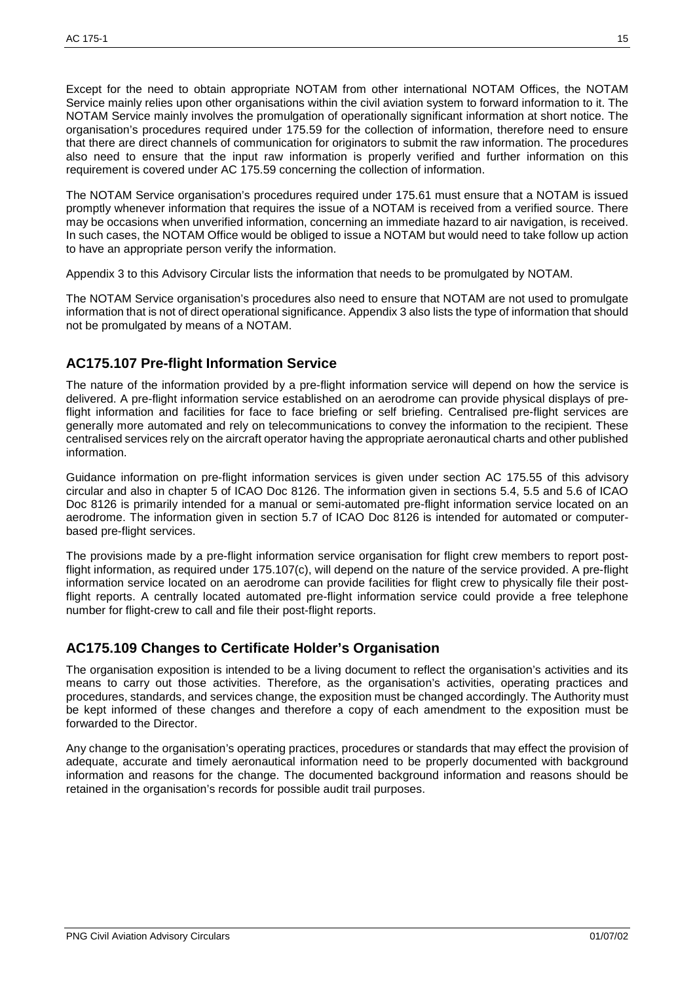Except for the need to obtain appropriate NOTAM from other international NOTAM Offices, the NOTAM Service mainly relies upon other organisations within the civil aviation system to forward information to it. The NOTAM Service mainly involves the promulgation of operationally significant information at short notice. The organisation's procedures required under 175.59 for the collection of information, therefore need to ensure that there are direct channels of communication for originators to submit the raw information. The procedures also need to ensure that the input raw information is properly verified and further information on this requirement is covered under AC 175.59 concerning the collection of information.

The NOTAM Service organisation's procedures required under 175.61 must ensure that a NOTAM is issued promptly whenever information that requires the issue of a NOTAM is received from a verified source. There may be occasions when unverified information, concerning an immediate hazard to air navigation, is received. In such cases, the NOTAM Office would be obliged to issue a NOTAM but would need to take follow up action to have an appropriate person verify the information.

Appendix 3 to this Advisory Circular lists the information that needs to be promulgated by NOTAM.

The NOTAM Service organisation's procedures also need to ensure that NOTAM are not used to promulgate information that is not of direct operational significance. Appendix 3 also lists the type of information that should not be promulgated by means of a NOTAM.

# **AC175.107 Pre-flight Information Service**

The nature of the information provided by a pre-flight information service will depend on how the service is delivered. A pre-flight information service established on an aerodrome can provide physical displays of preflight information and facilities for face to face briefing or self briefing. Centralised pre-flight services are generally more automated and rely on telecommunications to convey the information to the recipient. These centralised services rely on the aircraft operator having the appropriate aeronautical charts and other published information.

Guidance information on pre-flight information services is given under section AC 175.55 of this advisory circular and also in chapter 5 of ICAO Doc 8126. The information given in sections 5.4, 5.5 and 5.6 of ICAO Doc 8126 is primarily intended for a manual or semi-automated pre-flight information service located on an aerodrome. The information given in section 5.7 of ICAO Doc 8126 is intended for automated or computerbased pre-flight services.

The provisions made by a pre-flight information service organisation for flight crew members to report postflight information, as required under 175.107(c), will depend on the nature of the service provided. A pre-flight information service located on an aerodrome can provide facilities for flight crew to physically file their postflight reports. A centrally located automated pre-flight information service could provide a free telephone number for flight-crew to call and file their post-flight reports.

## **AC175.109 Changes to Certificate Holder's Organisation**

The organisation exposition is intended to be a living document to reflect the organisation's activities and its means to carry out those activities. Therefore, as the organisation's activities, operating practices and procedures, standards, and services change, the exposition must be changed accordingly. The Authority must be kept informed of these changes and therefore a copy of each amendment to the exposition must be forwarded to the Director.

Any change to the organisation's operating practices, procedures or standards that may effect the provision of adequate, accurate and timely aeronautical information need to be properly documented with background information and reasons for the change. The documented background information and reasons should be retained in the organisation's records for possible audit trail purposes.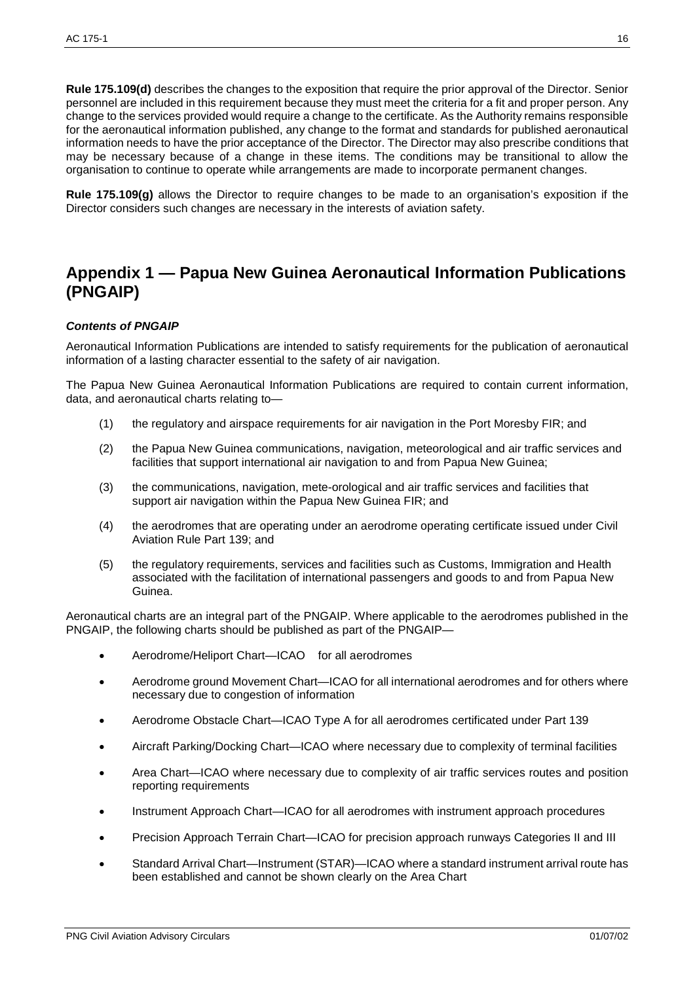**Rule 175.109(d)** describes the changes to the exposition that require the prior approval of the Director. Senior personnel are included in this requirement because they must meet the criteria for a fit and proper person. Any change to the services provided would require a change to the certificate. As the Authority remains responsible for the aeronautical information published, any change to the format and standards for published aeronautical information needs to have the prior acceptance of the Director. The Director may also prescribe conditions that may be necessary because of a change in these items. The conditions may be transitional to allow the organisation to continue to operate while arrangements are made to incorporate permanent changes.

**Rule 175.109(g)** allows the Director to require changes to be made to an organisation's exposition if the Director considers such changes are necessary in the interests of aviation safety.

# **Appendix 1 — Papua New Guinea Aeronautical Information Publications (PNGAIP)**

#### *Contents of PNGAIP*

Aeronautical Information Publications are intended to satisfy requirements for the publication of aeronautical information of a lasting character essential to the safety of air navigation.

The Papua New Guinea Aeronautical Information Publications are required to contain current information, data, and aeronautical charts relating to—

- (1) the regulatory and airspace requirements for air navigation in the Port Moresby FIR; and
- (2) the Papua New Guinea communications, navigation, meteorological and air traffic services and facilities that support international air navigation to and from Papua New Guinea;
- (3) the communications, navigation, mete-orological and air traffic services and facilities that support air navigation within the Papua New Guinea FIR; and
- (4) the aerodromes that are operating under an aerodrome operating certificate issued under Civil Aviation Rule Part 139; and
- (5) the regulatory requirements, services and facilities such as Customs, Immigration and Health associated with the facilitation of international passengers and goods to and from Papua New Guinea.

Aeronautical charts are an integral part of the PNGAIP. Where applicable to the aerodromes published in the PNGAIP, the following charts should be published as part of the PNGAIP—

- Aerodrome/Heliport Chart-ICAO for all aerodromes
- Aerodrome ground Movement Chart—ICAO for all international aerodromes and for others where necessary due to congestion of information
- Aerodrome Obstacle Chart—ICAO Type A for all aerodromes certificated under Part 139
- Aircraft Parking/Docking Chart—ICAO where necessary due to complexity of terminal facilities
- Area Chart—ICAO where necessary due to complexity of air traffic services routes and position reporting requirements
- Instrument Approach Chart—ICAO for all aerodromes with instrument approach procedures
- Precision Approach Terrain Chart—ICAO for precision approach runways Categories II and III
- Standard Arrival Chart—Instrument (STAR)—ICAO where a standard instrument arrival route has been established and cannot be shown clearly on the Area Chart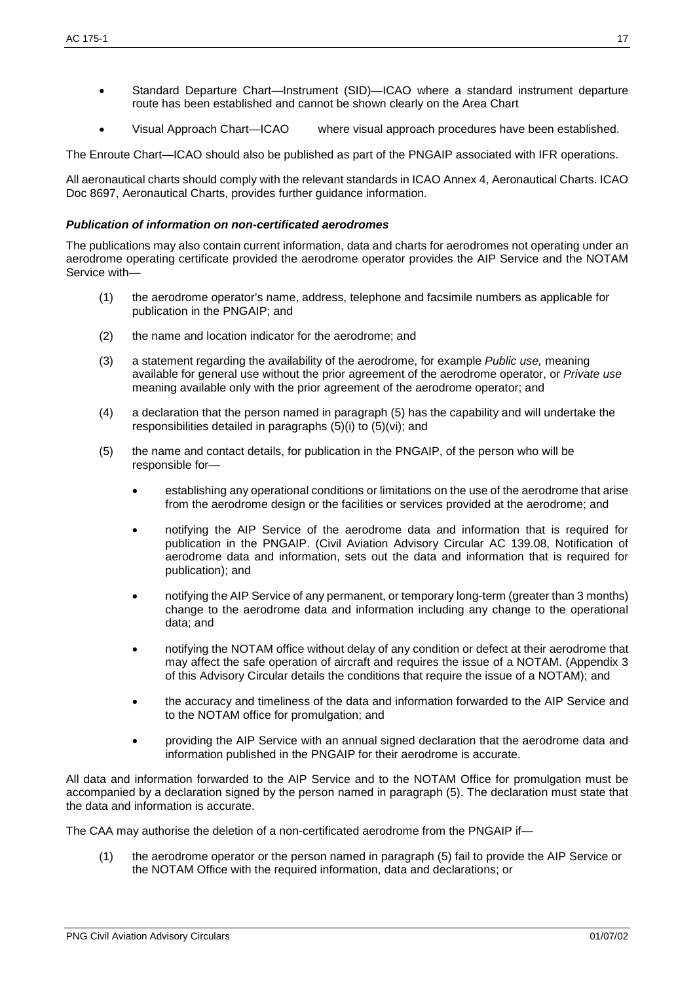- Standard Departure Chart—Instrument (SID)—ICAO where a standard instrument departure route has been established and cannot be shown clearly on the Area Chart
- Visual Approach Chart—ICAO where visual approach procedures have been established.

The Enroute Chart—ICAO should also be published as part of the PNGAIP associated with IFR operations.

All aeronautical charts should comply with the relevant standards in ICAO Annex 4, Aeronautical Charts. ICAO Doc 8697, Aeronautical Charts, provides further guidance information.

#### *Publication of information on non-certificated aerodromes*

The publications may also contain current information, data and charts for aerodromes not operating under an aerodrome operating certificate provided the aerodrome operator provides the AIP Service and the NOTAM Service with—

- (1) the aerodrome operator's name, address, telephone and facsimile numbers as applicable for publication in the PNGAIP; and
- (2) the name and location indicator for the aerodrome; and
- (3) a statement regarding the availability of the aerodrome, for example *Public use,* meaning available for general use without the prior agreement of the aerodrome operator, or *Private use* meaning available only with the prior agreement of the aerodrome operator; and
- (4) a declaration that the person named in paragraph (5) has the capability and will undertake the responsibilities detailed in paragraphs (5)(i) to (5)(vi); and
- (5) the name and contact details, for publication in the PNGAIP, of the person who will be responsible for—
	- establishing any operational conditions or limitations on the use of the aerodrome that arise from the aerodrome design or the facilities or services provided at the aerodrome; and
	- notifying the AIP Service of the aerodrome data and information that is required for publication in the PNGAIP. (Civil Aviation Advisory Circular AC 139.08, Notification of aerodrome data and information, sets out the data and information that is required for publication); and
	- notifying the AIP Service of any permanent, or temporary long-term (greater than 3 months) change to the aerodrome data and information including any change to the operational data; and
	- notifying the NOTAM office without delay of any condition or defect at their aerodrome that may affect the safe operation of aircraft and requires the issue of a NOTAM. (Appendix 3 of this Advisory Circular details the conditions that require the issue of a NOTAM); and
	- the accuracy and timeliness of the data and information forwarded to the AIP Service and to the NOTAM office for promulgation; and
	- providing the AIP Service with an annual signed declaration that the aerodrome data and information published in the PNGAIP for their aerodrome is accurate.

All data and information forwarded to the AIP Service and to the NOTAM Office for promulgation must be accompanied by a declaration signed by the person named in paragraph (5). The declaration must state that the data and information is accurate.

The CAA may authorise the deletion of a non-certificated aerodrome from the PNGAIP if—

(1) the aerodrome operator or the person named in paragraph (5) fail to provide the AIP Service or the NOTAM Office with the required information, data and declarations; or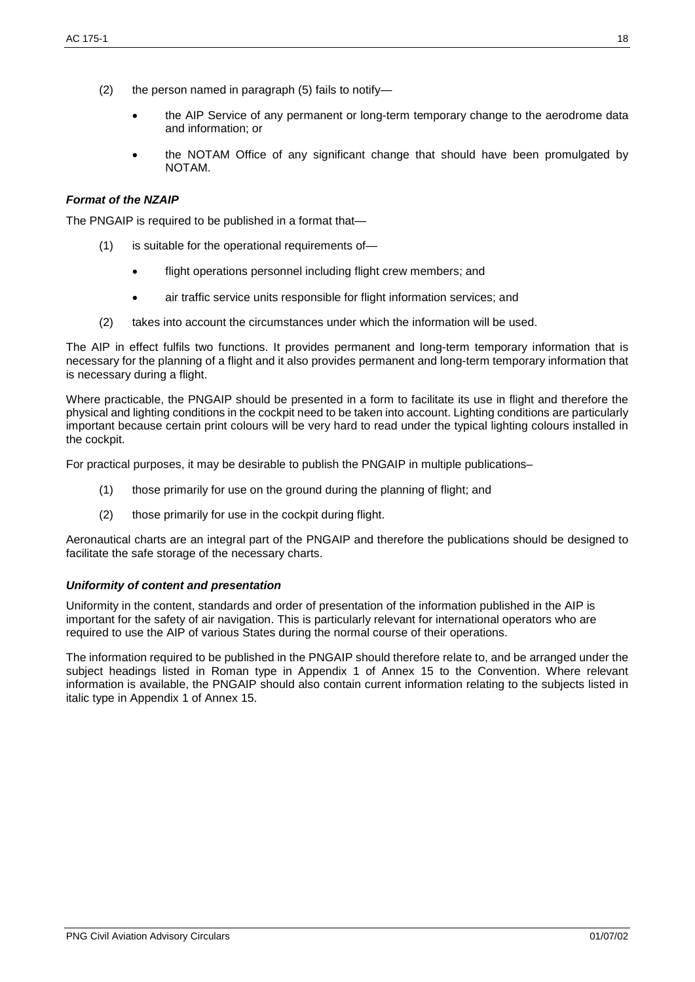- (2) the person named in paragraph (5) fails to notify—
	- the AIP Service of any permanent or long-term temporary change to the aerodrome data and information; or
	- the NOTAM Office of any significant change that should have been promulgated by NOTAM.

#### *Format of the NZAIP*

The PNGAIP is required to be published in a format that—

- (1) is suitable for the operational requirements of
	- flight operations personnel including flight crew members; and
	- air traffic service units responsible for flight information services; and
- (2) takes into account the circumstances under which the information will be used.

The AIP in effect fulfils two functions. It provides permanent and long-term temporary information that is necessary for the planning of a flight and it also provides permanent and long-term temporary information that is necessary during a flight.

Where practicable, the PNGAIP should be presented in a form to facilitate its use in flight and therefore the physical and lighting conditions in the cockpit need to be taken into account. Lighting conditions are particularly important because certain print colours will be very hard to read under the typical lighting colours installed in the cockpit.

For practical purposes, it may be desirable to publish the PNGAIP in multiple publications–

- (1) those primarily for use on the ground during the planning of flight; and
- (2) those primarily for use in the cockpit during flight.

Aeronautical charts are an integral part of the PNGAIP and therefore the publications should be designed to facilitate the safe storage of the necessary charts.

#### *Uniformity of content and presentation*

Uniformity in the content, standards and order of presentation of the information published in the AIP is important for the safety of air navigation. This is particularly relevant for international operators who are required to use the AIP of various States during the normal course of their operations.

The information required to be published in the PNGAIP should therefore relate to, and be arranged under the subject headings listed in Roman type in Appendix 1 of Annex 15 to the Convention. Where relevant information is available, the PNGAIP should also contain current information relating to the subjects listed in italic type in Appendix 1 of Annex 15.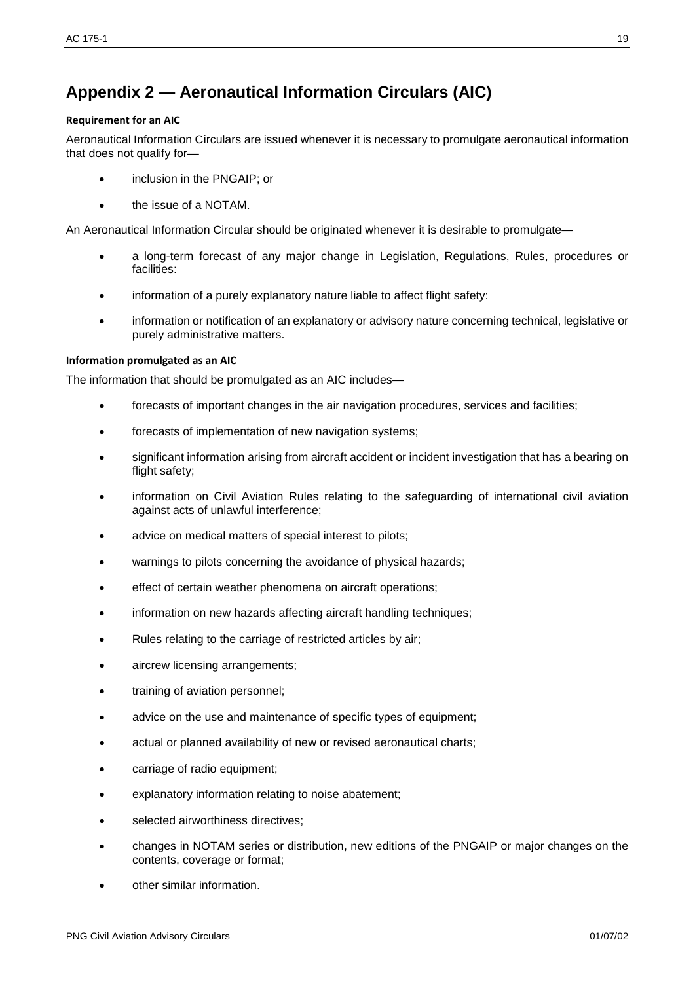# **Appendix 2 — Aeronautical Information Circulars (AIC)**

#### **Requirement for an AIC**

Aeronautical Information Circulars are issued whenever it is necessary to promulgate aeronautical information that does not qualify for—

- inclusion in the PNGAIP; or
- the issue of a NOTAM.

An Aeronautical Information Circular should be originated whenever it is desirable to promulgate—

- a long-term forecast of any major change in Legislation, Regulations, Rules, procedures or facilities:
- information of a purely explanatory nature liable to affect flight safety:
- information or notification of an explanatory or advisory nature concerning technical, legislative or purely administrative matters.

#### **Information promulgated as an AIC**

The information that should be promulgated as an AIC includes—

- forecasts of important changes in the air navigation procedures, services and facilities;
- forecasts of implementation of new navigation systems;
- significant information arising from aircraft accident or incident investigation that has a bearing on flight safety;
- information on Civil Aviation Rules relating to the safeguarding of international civil aviation against acts of unlawful interference;
- advice on medical matters of special interest to pilots;
- warnings to pilots concerning the avoidance of physical hazards;
- effect of certain weather phenomena on aircraft operations;
- information on new hazards affecting aircraft handling techniques;
- Rules relating to the carriage of restricted articles by air;
- aircrew licensing arrangements;
- training of aviation personnel;
- advice on the use and maintenance of specific types of equipment;
- actual or planned availability of new or revised aeronautical charts;
- carriage of radio equipment;
- explanatory information relating to noise abatement;
- selected airworthiness directives;
- changes in NOTAM series or distribution, new editions of the PNGAIP or major changes on the contents, coverage or format;
- other similar information.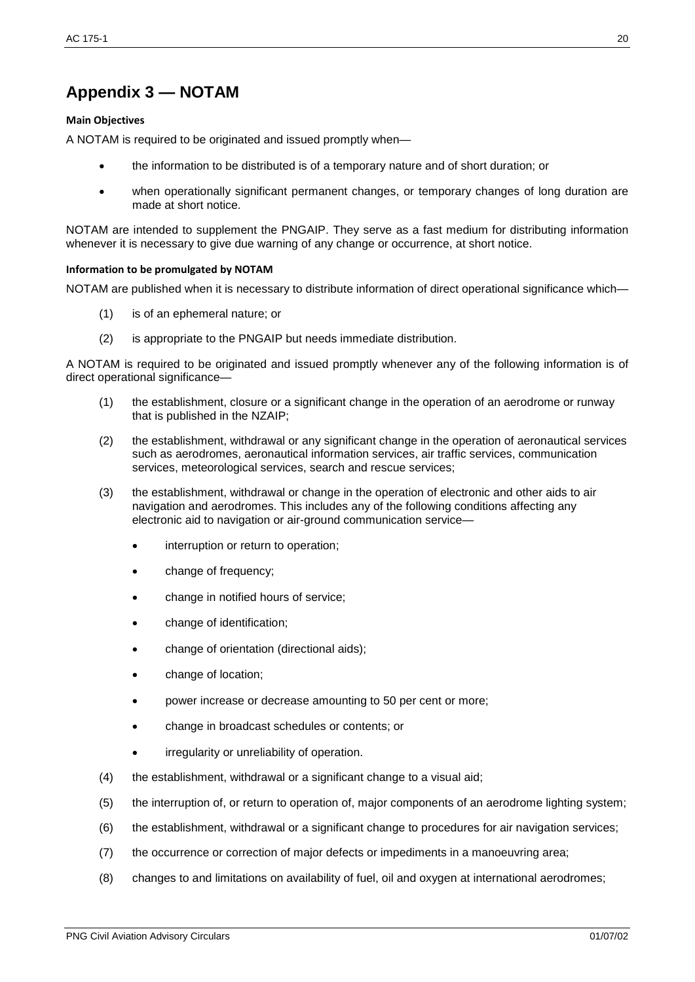# **Appendix 3 — NOTAM**

#### **Main Objectives**

A NOTAM is required to be originated and issued promptly when—

- the information to be distributed is of a temporary nature and of short duration; or
- when operationally significant permanent changes, or temporary changes of long duration are made at short notice.

NOTAM are intended to supplement the PNGAIP. They serve as a fast medium for distributing information whenever it is necessary to give due warning of any change or occurrence, at short notice.

#### **Information to be promulgated by NOTAM**

NOTAM are published when it is necessary to distribute information of direct operational significance which—

- (1) is of an ephemeral nature; or
- (2) is appropriate to the PNGAIP but needs immediate distribution.

A NOTAM is required to be originated and issued promptly whenever any of the following information is of direct operational significance—

- (1) the establishment, closure or a significant change in the operation of an aerodrome or runway that is published in the NZAIP;
- (2) the establishment, withdrawal or any significant change in the operation of aeronautical services such as aerodromes, aeronautical information services, air traffic services, communication services, meteorological services, search and rescue services;
- (3) the establishment, withdrawal or change in the operation of electronic and other aids to air navigation and aerodromes. This includes any of the following conditions affecting any electronic aid to navigation or air-ground communication service
	- interruption or return to operation;
	- change of frequency;
	- change in notified hours of service;
	- change of identification;
	- change of orientation (directional aids);
	- change of location;
	- power increase or decrease amounting to 50 per cent or more;
	- change in broadcast schedules or contents; or
	- irregularity or unreliability of operation.
- (4) the establishment, withdrawal or a significant change to a visual aid;
- (5) the interruption of, or return to operation of, major components of an aerodrome lighting system;
- (6) the establishment, withdrawal or a significant change to procedures for air navigation services;
- (7) the occurrence or correction of major defects or impediments in a manoeuvring area;
- (8) changes to and limitations on availability of fuel, oil and oxygen at international aerodromes;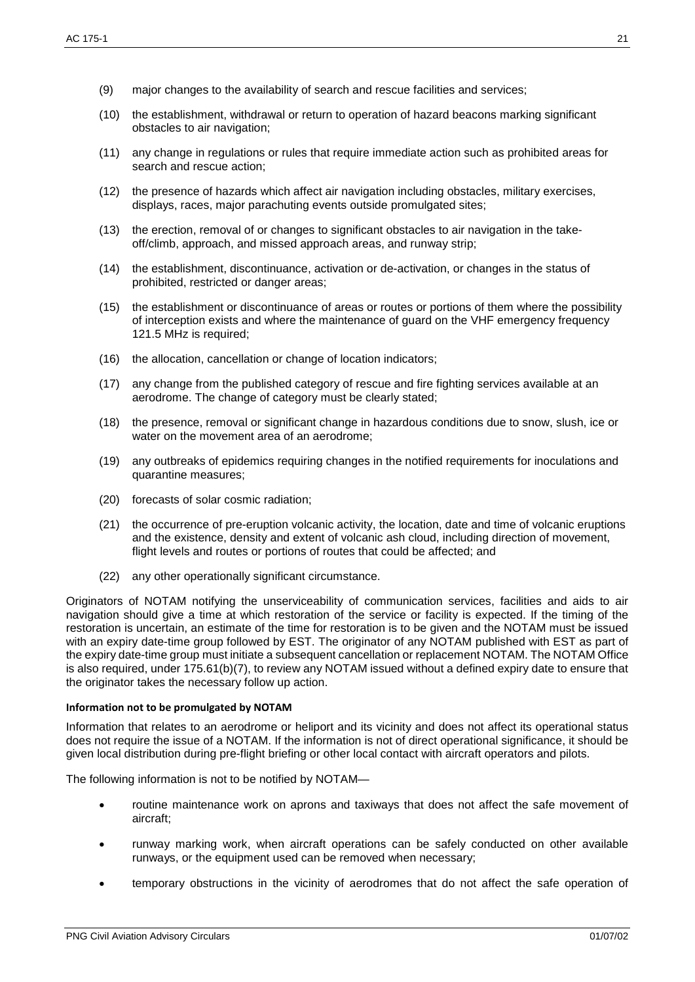- (9) major changes to the availability of search and rescue facilities and services;
- (10) the establishment, withdrawal or return to operation of hazard beacons marking significant obstacles to air navigation;
- (11) any change in regulations or rules that require immediate action such as prohibited areas for search and rescue action;
- (12) the presence of hazards which affect air navigation including obstacles, military exercises, displays, races, major parachuting events outside promulgated sites;
- (13) the erection, removal of or changes to significant obstacles to air navigation in the takeoff/climb, approach, and missed approach areas, and runway strip;
- (14) the establishment, discontinuance, activation or de-activation, or changes in the status of prohibited, restricted or danger areas;
- (15) the establishment or discontinuance of areas or routes or portions of them where the possibility of interception exists and where the maintenance of guard on the VHF emergency frequency 121.5 MHz is required;
- (16) the allocation, cancellation or change of location indicators;
- (17) any change from the published category of rescue and fire fighting services available at an aerodrome. The change of category must be clearly stated;
- (18) the presence, removal or significant change in hazardous conditions due to snow, slush, ice or water on the movement area of an aerodrome;
- (19) any outbreaks of epidemics requiring changes in the notified requirements for inoculations and quarantine measures;
- (20) forecasts of solar cosmic radiation;
- (21) the occurrence of pre-eruption volcanic activity, the location, date and time of volcanic eruptions and the existence, density and extent of volcanic ash cloud, including direction of movement, flight levels and routes or portions of routes that could be affected; and
- (22) any other operationally significant circumstance.

Originators of NOTAM notifying the unserviceability of communication services, facilities and aids to air navigation should give a time at which restoration of the service or facility is expected. If the timing of the restoration is uncertain, an estimate of the time for restoration is to be given and the NOTAM must be issued with an expiry date-time group followed by EST. The originator of any NOTAM published with EST as part of the expiry date-time group must initiate a subsequent cancellation or replacement NOTAM. The NOTAM Office is also required, under 175.61(b)(7), to review any NOTAM issued without a defined expiry date to ensure that the originator takes the necessary follow up action.

#### **Information not to be promulgated by NOTAM**

Information that relates to an aerodrome or heliport and its vicinity and does not affect its operational status does not require the issue of a NOTAM. If the information is not of direct operational significance, it should be given local distribution during pre-flight briefing or other local contact with aircraft operators and pilots.

The following information is not to be notified by NOTAM—

- routine maintenance work on aprons and taxiways that does not affect the safe movement of aircraft;
- runway marking work, when aircraft operations can be safely conducted on other available runways, or the equipment used can be removed when necessary;
- temporary obstructions in the vicinity of aerodromes that do not affect the safe operation of